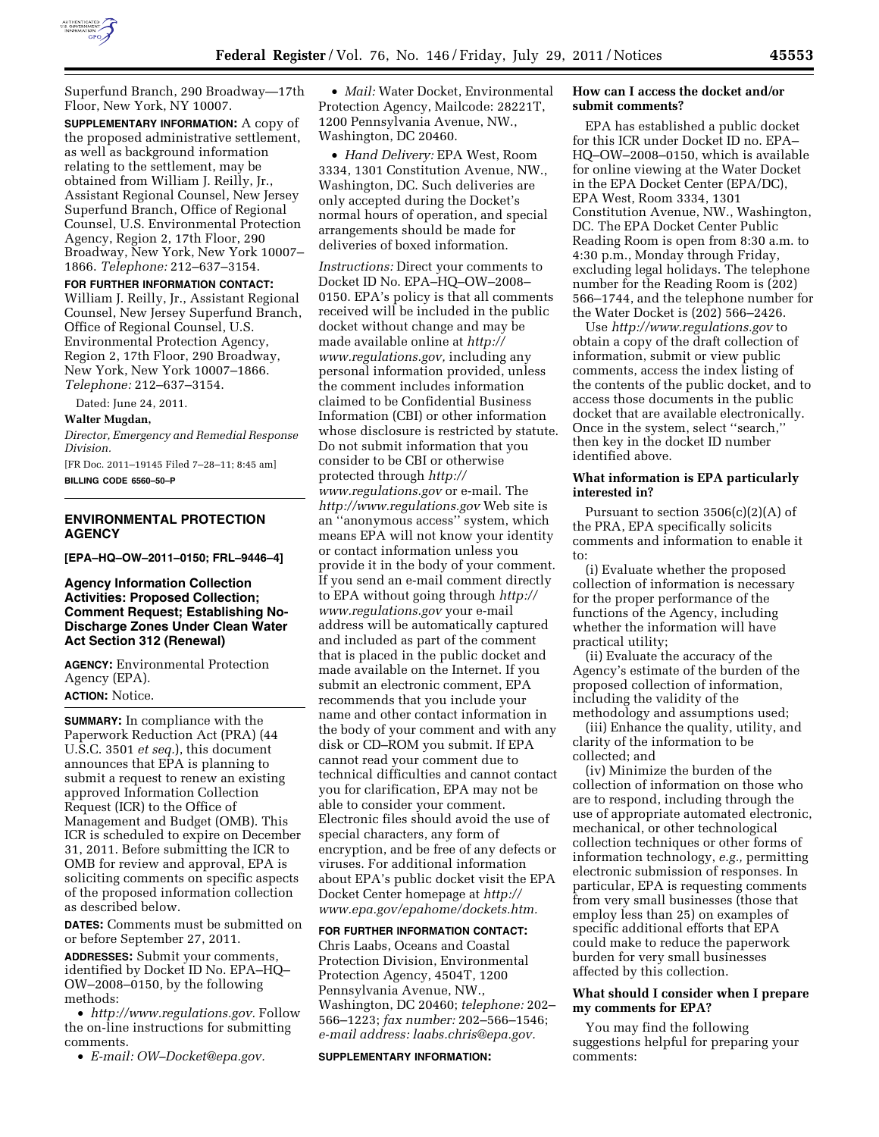

Superfund Branch, 290 Broadway—17th Floor, New York, NY 10007.

**SUPPLEMENTARY INFORMATION:** A copy of the proposed administrative settlement, as well as background information relating to the settlement, may be obtained from William J. Reilly, Jr., Assistant Regional Counsel, New Jersey Superfund Branch, Office of Regional Counsel, U.S. Environmental Protection Agency, Region 2, 17th Floor, 290 Broadway, New York, New York 10007– 1866. *Telephone:* 212–637–3154.

#### **FOR FURTHER INFORMATION CONTACT:**

William J. Reilly, Jr., Assistant Regional Counsel, New Jersey Superfund Branch, Office of Regional Counsel, U.S. Environmental Protection Agency, Region 2, 17th Floor, 290 Broadway, New York, New York 10007–1866. *Telephone:* 212–637–3154.

Dated: June 24, 2011.

#### **Walter Mugdan,**

*Director, Emergency and Remedial Response Division.* 

[FR Doc. 2011–19145 Filed 7–28–11; 8:45 am] **BILLING CODE 6560–50–P** 

# **ENVIRONMENTAL PROTECTION AGENCY**

**[EPA–HQ–OW–2011–0150; FRL–9446–4]** 

## **Agency Information Collection Activities: Proposed Collection; Comment Request; Establishing No-Discharge Zones Under Clean Water Act Section 312 (Renewal)**

**AGENCY:** Environmental Protection Agency (EPA). **ACTION:** Notice.

**SUMMARY:** In compliance with the Paperwork Reduction Act (PRA) (44 U.S.C. 3501 *et seq.*), this document announces that EPA is planning to submit a request to renew an existing approved Information Collection Request (ICR) to the Office of Management and Budget (OMB). This ICR is scheduled to expire on December 31, 2011. Before submitting the ICR to OMB for review and approval, EPA is soliciting comments on specific aspects of the proposed information collection as described below.

**DATES:** Comments must be submitted on or before September 27, 2011.

**ADDRESSES:** Submit your comments, identified by Docket ID No. EPA–HQ– OW–2008–0150, by the following methods:

• *[http://www.regulations.gov.](http://www.regulations.gov)* Follow the on-line instructions for submitting comments.

• *E-mail: [OW–Docket@epa.gov.](mailto:OW-Docket@epa.gov)* 

• *Mail:* Water Docket, Environmental Protection Agency, Mailcode: 28221T, 1200 Pennsylvania Avenue, NW., Washington, DC 20460.

• *Hand Delivery:* EPA West, Room 3334, 1301 Constitution Avenue, NW., Washington, DC. Such deliveries are only accepted during the Docket's normal hours of operation, and special arrangements should be made for deliveries of boxed information.

*Instructions:* Direct your comments to Docket ID No. EPA–HQ–OW–2008– 0150. EPA's policy is that all comments received will be included in the public docket without change and may be made available online at *[http://](http://www.regulations.gov)  [www.regulations.gov,](http://www.regulations.gov)* including any personal information provided, unless the comment includes information claimed to be Confidential Business Information (CBI) or other information whose disclosure is restricted by statute. Do not submit information that you consider to be CBI or otherwise protected through *[http://](http://www.regulations.gov)  [www.regulations.gov](http://www.regulations.gov)* or e-mail. The *<http://www.regulations.gov>* Web site is an ''anonymous access'' system, which means EPA will not know your identity or contact information unless you provide it in the body of your comment. If you send an e-mail comment directly to EPA without going through *[http://](http://www.regulations.gov) [www.regulations.gov](http://www.regulations.gov)* your e-mail address will be automatically captured and included as part of the comment that is placed in the public docket and made available on the Internet. If you submit an electronic comment, EPA recommends that you include your name and other contact information in the body of your comment and with any disk or CD–ROM you submit. If EPA cannot read your comment due to technical difficulties and cannot contact you for clarification, EPA may not be able to consider your comment. Electronic files should avoid the use of special characters, any form of encryption, and be free of any defects or viruses. For additional information about EPA's public docket visit the EPA Docket Center homepage at *[http://](http://www.epa.gov/epahome/dockets.htm) [www.epa.gov/epahome/dockets.htm.](http://www.epa.gov/epahome/dockets.htm)* 

# **FOR FURTHER INFORMATION CONTACT:**

Chris Laabs, Oceans and Coastal Protection Division, Environmental Protection Agency, 4504T, 1200 Pennsylvania Avenue, NW., Washington, DC 20460; *telephone:* 202– 566–1223; *fax number:* 202–566–1546; *e-mail address: [laabs.chris@epa.gov.](mailto:laabs.chris@epa.gov)* 

### **SUPPLEMENTARY INFORMATION:**

## **How can I access the docket and/or submit comments?**

EPA has established a public docket for this ICR under Docket ID no. EPA– HQ–OW–2008–0150, which is available for online viewing at the Water Docket in the EPA Docket Center (EPA/DC), EPA West, Room 3334, 1301 Constitution Avenue, NW., Washington, DC. The EPA Docket Center Public Reading Room is open from 8:30 a.m. to 4:30 p.m., Monday through Friday, excluding legal holidays. The telephone number for the Reading Room is (202) 566–1744, and the telephone number for the Water Docket is (202) 566–2426.

Use *<http://www.regulations.gov>* to obtain a copy of the draft collection of information, submit or view public comments, access the index listing of the contents of the public docket, and to access those documents in the public docket that are available electronically. Once in the system, select ''search,'' then key in the docket ID number identified above.

### **What information is EPA particularly interested in?**

Pursuant to section  $3506(c)(2)(A)$  of the PRA, EPA specifically solicits comments and information to enable it to:

(i) Evaluate whether the proposed collection of information is necessary for the proper performance of the functions of the Agency, including whether the information will have practical utility;

(ii) Evaluate the accuracy of the Agency's estimate of the burden of the proposed collection of information, including the validity of the methodology and assumptions used;

(iii) Enhance the quality, utility, and clarity of the information to be collected; and

(iv) Minimize the burden of the collection of information on those who are to respond, including through the use of appropriate automated electronic, mechanical, or other technological collection techniques or other forms of information technology, *e.g.,* permitting electronic submission of responses. In particular, EPA is requesting comments from very small businesses (those that employ less than 25) on examples of specific additional efforts that EPA could make to reduce the paperwork burden for very small businesses affected by this collection.

# **What should I consider when I prepare my comments for EPA?**

You may find the following suggestions helpful for preparing your comments: